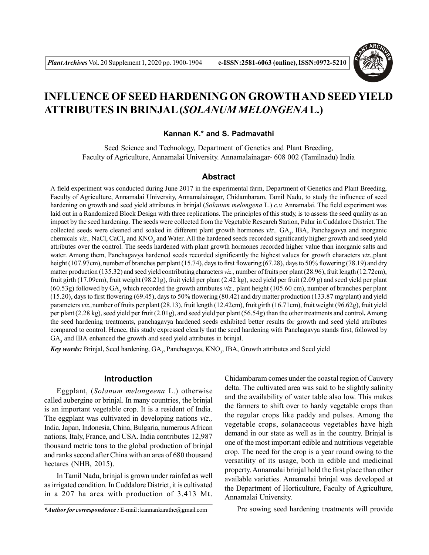

# **INFLUENCE OF SEED HARDENING ON GROWTH AND SEED YIELD ATTRIBUTES IN BRINJAL (***SOLANUM MELONGENA***L.)**

# **Kannan K.\* and S. Padmavathi**

Seed Science and Technology, Department of Genetics and Plant Breeding, Faculty of Agriculture, Annamalai University. Annamalainagar- 608 002 (Tamilnadu) India

#### **Abstract**

A field experiment was conducted during June 2017 in the experimental farm, Department of Genetics and Plant Breeding, Faculty of Agriculture, Annamalai University, Annamalainagar, Chidambaram, Tamil Nadu, to study the influence of seed hardening on growth and seed yield attributes in brinjal (*Solanum melongena* L.) *c.v.* Annamalai. The field experiment was laid out in a Randomized Block Design with three replications. The principles of this study, is to assess the seed quality as an impact by the seed hardening. The seeds were collected from the Vegetable Research Station, Palur in Cuddalore District. The collected seeds were cleaned and soaked in different plant growth hormones *viz.*, GA<sub>3</sub>, IBA, Panchagavya and inorganic chemicals *viz.*, NaCl, CaCl<sub>2</sub> and KNO<sub>3</sub> and Water. All the hardened seeds recorded significantly higher growth and seed yield attributes over the control. The seeds hardened with plant growth hormones recorded higher value than inorganic salts and water. Among them, Panchagavya hardened seeds recorded significantly the highest values for growth characters *viz.,*plant height (107.97cm), number of branches per plant (15.74), days to first flowering (67.28), days to 50% flowering (78.19) and dry matter production (135.32) and seed yield contributing characters *viz.,* number of fruits per plant (28.96), fruit length (12.72cm), fruit girth (17.09cm), fruit weight (98.21g), fruit yield per plant (2.42 kg), seed yield per fruit (2.09 g) and seed yield per plant (60.53g) followed by GA<sub>3</sub> which recorded the growth attributes *viz.*, plant height (105.60 cm), number of branches per plant (15.20), days to first flowering (69.45), days to 50% flowering (80.42) and dry matter production (133.87 mg/plant) and yield parameters *viz.,*number of fruits per plant (28.13), fruit length (12.42cm), fruit girth (16.71cm), fruit weight (96.62g), fruit yield per plant (2.28 kg), seed yield per fruit (2.01g), and seed yield per plant (56.54g) than the other treatments and control**.** Among the seed hardening treatments, panchagavya hardened seeds exhibited better results for growth and seed yield attributes compared to control. Hence, this study expressed clearly that the seed hardening with Panchagavya stands first, followed by  $GA_3$  and IBA enhanced the growth and seed yield attributes in brinjal.

Key words: Brinjal, Seed hardening, GA<sub>3</sub>, Panchagavya, KNO<sub>3</sub>, IBA, Growth attributes and Seed yield

## **Introduction**

Eggplant, (*Solanum melongeena* L.) otherwise called aubergine or brinjal. In many countries, the brinjal is an important vegetable crop. It is a resident of India. The eggplant was cultivated in developing nations *viz.,* India, Japan, Indonesia, China, Bulgaria, numerous African nations, Italy, France, and USA. India contributes 12,987 thousand metric tons to the global production of brinjal and ranks second after China with an area of 680 thousand hectares (NHB, 2015).

In Tamil Nadu, brinjal is grown under rainfed as well as irrigated condition. In Cuddalore District, it is cultivated in a 207 ha area with production of 3,413 Mt.

*\*Author for correspondence :* E-mail : kannankarathe@gmail.com

Chidambaram comes under the coastal region of Cauvery delta. The cultivated area was said to be slightly salinity and the availability of water table also low. This makes the farmers to shift over to hardy vegetable crops than the regular crops like paddy and pulses. Among the vegetable crops, solanaceous vegetables have high demand in our state as well as in the country. Brinjal is one of the most important edible and nutritious vegetable crop. The need for the crop is a year round owing to the versatility of its usage, both in edible and medicinal property. Annamalai brinjal hold the first place than other available varieties. Annamalai brinjal was developed at the Department of Horticulture, Faculty of Agriculture, Annamalai University.

Pre sowing seed hardening treatments will provide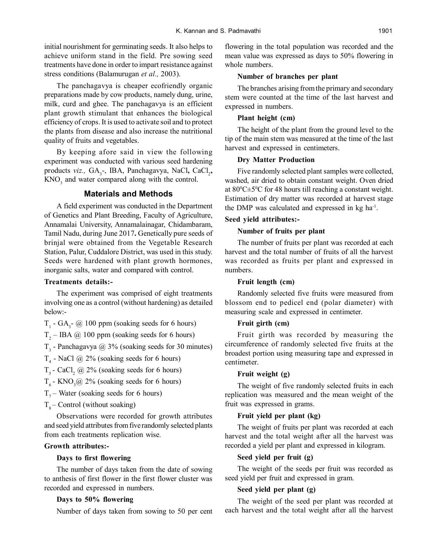initial nourishment for germinating seeds. It also helps to achieve uniform stand in the field. Pre sowing seed treatments have done in order to impart resistance against stress conditions (Balamurugan *et al.,* 2003).

The panchagavya is cheaper ecofriendly organic preparations made by cow products, namely dung, urine, milk, curd and ghee. The panchagavya is an efficient plant growth stimulant that enhances the biological efficiency of crops. It is used to activate soil and to protect the plants from disease and also increase the nutritional quality of fruits and vegetables.

By keeping afore said in view the following experiment was conducted with various seed hardening products *viz.*, GA<sub>3</sub>-, IBA, Panchagavya, NaCl, CaCl<sub>2</sub>,  $KNO<sub>3</sub>$  and water compared along with the control.

# **Materials and Methods**

A field experiment was conducted in the Department of Genetics and Plant Breeding, Faculty of Agriculture, Annamalai University, Annamalainagar, Chidambaram, Tamil Nadu, during June 2017**.** Genetically pure seeds of brinjal were obtained from the Vegetable Research Station, Palur, Cuddalore District, was used in this study. Seeds were hardened with plant growth hormones, inorganic salts, water and compared with control.

# **Treatments details:-**

The experiment was comprised of eight treatments involving one as a control (without hardening) as detailed below:-

- $T_1$  GA<sub>3</sub>- @ 100 ppm (soaking seeds for 6 hours)
- $T_2$  IBA @ 100 ppm (soaking seeds for 6 hours)
- $T_3$  Panchagavya @ 3% (soaking seeds for 30 minutes)
- $T_4$  NaCl  $\omega$  2% (soaking seeds for 6 hours)
- $T_s$  CaCl<sub>2</sub> @ 2% (soaking seeds for 6 hours)
- $T<sub>6</sub>$  KNO<sub>3</sub>@ 2% (soaking seeds for 6 hours)
- $T<sub>7</sub>$  Water (soaking seeds for 6 hours)

 $T_{\circ}$  – Control (without soaking)

Observations were recorded for growth attributes and seed yield attributes from five randomly selected plants from each treatments replication wise.

# **Growth attributes:-**

## **Days to first flowering**

The number of days taken from the date of sowing to anthesis of first flower in the first flower cluster was recorded and expressed in numbers.

#### **Days to 50% flowering**

Number of days taken from sowing to 50 per cent

flowering in the total population was recorded and the mean value was expressed as days to 50% flowering in whole numbers.

## **Number of branches per plant**

The branches arising from the primary and secondary stem were counted at the time of the last harvest and expressed in numbers.

#### **Plant height (cm)**

The height of the plant from the ground level to the tip of the main stem was measured at the time of the last harvest and expressed in centimeters.

#### **Dry Matter Production**

Five randomly selected plant samples were collected, washed, air dried to obtain constant weight. Oven dried at  $80^{\circ}C \pm 5^{\circ}C$  for 48 hours till reaching a constant weight. Estimation of dry matter was recorded at harvest stage the DMP was calculated and expressed in kg ha<sup>-1</sup>.

#### **Seed yield attributes:-**

#### **Number of fruits per plant**

The number of fruits per plant was recorded at each harvest and the total number of fruits of all the harvest was recorded as fruits per plant and expressed in numbers.

### **Fruit length (cm)**

Randomly selected five fruits were measured from blossom end to pedicel end (polar diameter) with measuring scale and expressed in centimeter.

#### **Fruit girth (cm)**

Fruit girth was recorded by measuring the circumference of randomly selected five fruits at the broadest portion using measuring tape and expressed in centimeter.

## **Fruit weight (g)**

The weight of five randomly selected fruits in each replication was measured and the mean weight of the fruit was expressed in grams.

## **Fruit yield per plant (kg)**

The weight of fruits per plant was recorded at each harvest and the total weight after all the harvest was recorded a yield per plant and expressed in kilogram.

## **Seed yield per fruit (g)**

The weight of the seeds per fruit was recorded as seed yield per fruit and expressed in gram.

#### **Seed yield per plant (g)**

The weight of the seed per plant was recorded at each harvest and the total weight after all the harvest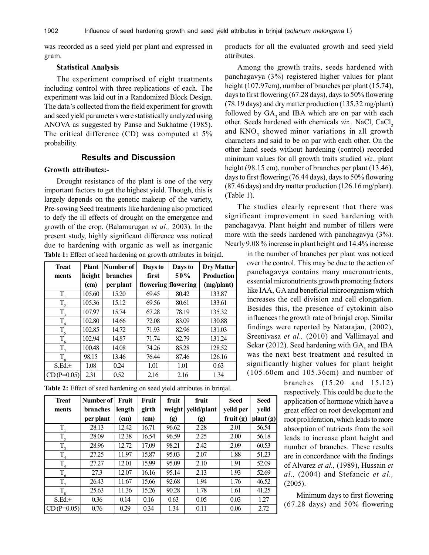was recorded as a seed yield per plant and expressed in gram.

## **Statistical Analysis**

The experiment comprised of eight treatments including control with three replications of each. The experiment was laid out in a Randomized Block Design. The data's collected from the field experiment for growth and seed yield parameters were statistically analyzed using ANOVA as suggested by Panse and Sukhatme (1985). The critical difference (CD) was computed at 5% probability.

# **Results and Discussion**

## **Growth attributes:-**

Drought resistance of the plant is one of the very important factors to get the highest yield. Though, this is largely depends on the genetic makeup of the variety, Pre-sowing Seed treatments like hardening also practiced to defy the ill effects of drought on the emergence and growth of the crop. (Balamurugan *et al.,* 2003). In the present study, highly significant difference was noticed due to hardening with organic as well as inorganic **Table 1:** Effect of seed hardening on growth attributes in brinjal.

| <b>Treat</b>     | <b>Plant</b> | Number of       | Days to | Days to             | <b>Dry Matter</b> |  |
|------------------|--------------|-----------------|---------|---------------------|-------------------|--|
| ments            | height       | <b>branches</b> | first   | 50%                 | <b>Production</b> |  |
|                  | (cm)         | per plant       |         | flowering flowering | (mg/plant)        |  |
| T                | 105.60       | 15.20           | 69.45   | 80.42               | 133.87            |  |
| $T_{2}$          | 105.36       | 15.12           | 69.56   | 80.61               | 133.61            |  |
| $T_{3}$          | 107.97       | 15.74           | 67.28   | 78.19               | 135.32            |  |
| $\overline{T}_4$ | 102.80       | 14.66           | 72.08   | 83.09               | 130.88            |  |
| $T_{\zeta}$      | 102.85       | 14.72           | 71.93   | 82.96               | 131.03            |  |
| T                | 102.94       | 14.87           | 71.74   | 82.79               | 131.24            |  |
| $T_{7}$          | 100.48       | 14.08           | 74.26   | 85.28               | 128.52            |  |
| $T_{8}$          | 98.15        | 13.46           | 76.44   | 87.46               | 126.16            |  |
| $S.Ed. \pm$      | 1.08         | 0.24            | 1.01    | 1.01                | 0.63              |  |
| $CD(P=0.05)$     | 2.31         | 0.52            | 2.16    | 2.16                | 1.34              |  |

**Table 2:** Effect of seed hardening on seed yield attributes in brinjal.

| <b>Treat</b> | Number of       | Fruit  | Fruit | fruit  | fruit       | Seed        | <b>Seed</b> |
|--------------|-----------------|--------|-------|--------|-------------|-------------|-------------|
| ments        | <b>branches</b> | length | girth | weight | yeild/plant | yeild per   | veild       |
|              | per plant       | (cm)   | (cm)  | (g)    | (g)         | fruit $(g)$ | plant (g)   |
| T            | 28.13           | 12.42  | 16.71 | 96.62  | 2.28        | 2.01        | 56.54       |
| $T_{2}$      | 28.09           | 12.38  | 16.54 | 96.59  | 2.25        | 2.00        | 56.18       |
| $T_{3}$      | 28.96           | 12.72  | 17.09 | 98.21  | 2.42        | 2.09        | 60.53       |
| T            | 27.25           | 11.97  | 15.87 | 95.03  | 2.07        | 1.88        | 51.23       |
| $T_{\rm 5}$  | 27.27           | 12.01  | 15.99 | 95.09  | 2.10        | 1.91        | 52.09       |
| T<br>6       | 27.3            | 12.07  | 16.16 | 95.14  | 2.13        | 1.93        | 52.69       |
| $T_{7}$      | 26.43           | 11.67  | 15.66 | 92.68  | 1.94        | 1.76        | 46.52       |
| T            | 25.63           | 11.36  | 15.26 | 90.28  | 1.78        | 1.61        | 41.25       |
| $S.Ed. \pm$  | 0.36            | 0.14   | 0.16  | 0.63   | 0.05        | 0.03        | 1.27        |
| $CD(P=0.05)$ | 0.76            | 0.29   | 0.34  | 1.34   | 0.11        | 0.06        | 2.72        |

products for all the evaluated growth and seed yield attributes.

Among the growth traits, seeds hardened with panchagavya (3%) registered higher values for plant height (107.97cm), number of branches per plant (15.74), days to first flowering (67.28 days), days to 50% flowering (78.19 days) and dry matter production (135.32 mg/plant) followed by  $GA_3$  and IBA which are on par with each other. Seeds hardened with chemicals *viz.*, NaCl, CaCl<sub>2</sub> and  $KNO<sub>3</sub>$  showed minor variations in all growth characters and said to be on par with each other. On the other hand seeds without hardening (control) recorded minimum values for all growth traits studied *viz.,* plant height (98.15 cm), number of branches per plant (13.46), days to first flowering (76.44 days), days to 50% flowering (87.46 days) and dry matter production (126.16 mg/plant). (Table 1).

The studies clearly represent that there was significant improvement in seed hardening with panchagavya. Plant height and number of tillers were more with the seeds hardened with panchagavya (3%). Nearly 9.08 % increase in plant height and 14.4% increase

> in the number of branches per plant was noticed over the control. This may be due to the action of panchagavya contains many macronutrients, essential micronutrients growth promoting factors like IAA, GA and beneficial microorganism which increases the cell division and cell elongation. Besides this, the presence of cytokinin also influences the growth rate of brinjal crop. Similar findings were reported by Natarajan, (2002), Sreenivasa *et al.,* (2010) and Vallimayal and Sekar (2012). Seed hardening with  $GA_3$  and IBA was the next best treatment and resulted in significantly higher values for plant height (105.60cm and 105.36cm) and number of

> > branches (15.20 and 15.12) respectively. This could be due to the application of hormone which have a great effect on root development and root proliferation, which leads to more absorption of nutrients from the soil leads to increase plant height and number of branches. These results are in concordance with the findings of Alvarez *et al.,* (1989), Hussain *et al.,* (2004) and Stefancic *et al.,* (2005).

> > Minimum days to first flowering (67.28 days) and 50% flowering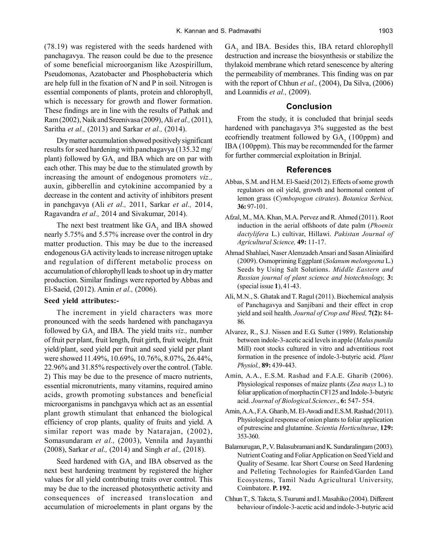(78.19) was registered with the seeds hardened with panchagavya. The reason could be due to the presence of some beneficial microorganism like Azospirillum, Pseudomonas, Azatobacter and Phosphobacteria which are help full in the fixation of N and P in soil. Nitrogen is essential components of plants, protein and chlorophyll, which is necessary for growth and flower formation. These findings are in line with the results of Pathak and Ram (2002),Naik and Sreenivasa (2009), Ali *et al.,* (2011), Saritha *et al.,* (2013) and Sarkar *et al.,* (2014).

Dry matter accumulation showed positively significant results for seed hardening with panchagavya (135.32 mg/ plant) followed by  $GA_3$  and IBA which are on par with each other. This may be due to the stimulated growth by increasing the amount of endogenous promoters *viz.,* auxin, gibberellin and cytokinine accompanied by a decrease in the content and activity of inhibitors present in panchgavya (Ali *et al.,* 2011, Sarkar *et al.,* 2014, Ragavandra *et al.,* 2014 and Sivakumar, 2014).

The next best treatment like  $GA_3$  and IBA showed nearly 5.75% and 5.57% increase over the control in dry matter production. This may be due to the increased endogenous GA activity leads to increase nitrogen uptake and regulation of different metabolic process on accumulation of chlorophyll leads to shoot up in dry matter production. Similar findings were reported by Abbas and El-Saeid, (2012). Amin *et al.,* (2006).

## **Seed yield attributes:-**

The increment in yield characters was more pronounced with the seeds hardened with panchagavya followed by GA<sub>3</sub> and IBA. The yield traits *viz.*, number of fruit per plant, fruit length, fruit girth, fruit weight, fruit yield/plant, seed yield per fruit and seed yield per plant were showed 11.49%, 10.69%, 10.76%, 8.07%, 26.44%, 22.96% and 31.85% respectively over the control. (Table. 2) This may be due to the presence of macro nutrients, essential micronutrients, many vitamins, required amino acids, growth promoting substances and beneficial microorganisms in panchgavya which act as an essential plant growth stimulant that enhanced the biological efficiency of crop plants, quality of fruits and yield. A similar report was made by Natarajan, (2002), Somasundaram *et al.,* (2003), Vennila and Jayanthi (2008), Sarkar *et al.,* (2014) and Singh *et al.,* (2018).

Seed hardened with  $GA_3$  and IBA observed as the next best hardening treatment by registered the higher values for all yield contributing traits over control. This may be due to the increased photosynthetic activity and consequences of increased translocation and accumulation of microelements in plant organs by the

 $GA<sub>3</sub>$  and IBA. Besides this, IBA retard chlorophyll destruction and increase the biosynthesis or stabilize the thylakoid membrane which retard senescence by altering the permeability of membranes. This finding was on par with the report of Chhun *et al.,* (2004), Da Silva, (2006) and Loannidis *et al.,* (2009).

#### **Conclusion**

From the study, it is concluded that brinjal seeds hardened with panchagavya 3% suggested as the best ecofriendly treatment followed by  $GA<sub>3</sub>$  (100ppm) and IBA (100ppm). This may be recommended for the farmer for further commercial exploitation in Brinjal.

## **References**

- Abbas, S.M. and H.M. El-Saeid (2012). Effects of some growth regulators on oil yield, growth and hormonal content of lemon grass (*Cymbopogon citrates*). *Botanica Serbica,* **36:** 97-101.
- Afzal, M., MA. Khan, M.A. Pervez and R. Ahmed (2011). Root induction in the aerial offshoots of date palm (*Phoenix dactylifera* L.) cultivar, Hillawi. *Pakistan Journal of Agricultural Science,* **49:** 11-17.
- Ahmad Shahlaei, Naser Alemzadeh Ansari and Sasan Aliniaifard (2009). Osmopriming Eggplant (*Solanum melongeena* L.) Seeds by Using Salt Solutions. *Middle Eastern and Russian journal of plant science and biotechnology,* **3:** (special issue **1**), 41-43.
- Ali, M.N., S. Ghatak and T. Ragul (2011). Biochemical analysis of Panchagavya and Sanjibani and their effect in crop yield and soil health. *Journal of Crop and Weed,* **7(2):** 84- 86.
- Alvarez, R., S.J. Nissen and E.G. Sutter (1989). Relationship between indole-3-acetic acid levels in apple (*Malus pumila* Mill) root stocks cultured in vitro and adventitious root formation in the presence of indole-3-butyric acid. *Plant Physiol.,* **89:** 439-443.
- Amin, A.A., E.S.M. Rashad and F.A.E. Gharib (2006). Physiological responses of maize plants (*Zea mays* L.) to foliar application of morphactin CF125 and Indole-3-butyric acid. *Journal of Biological.Sciences*., **6:** 547- 554.
- Amin, A.A., F.A. Gharib, M. El-Awadi and E.S.M. Rashad (2011). Physiological response of onion plants to foliar application of putrescine and glutamine. *Scientia Horticulturae*, **129:** 353-360.
- Balamurugan, P., V. Balasubramani and K. Sundaralingam (2003). Nutrient Coating and Foliar Application on Seed Yield and Quality of Sesame. Icar Short Course on Seed Hardening and Pelleting Technologies for Rainfed/Garden Land Ecosystems, Tamil Nadu Agricultural University, Coimbatore. **P. 192**.
- Chhun T., S. Takcta, S. Tsurumi and I. Masahiko (2004). Different behaviour of indole-3-acetic acid and indole-3-butyric acid